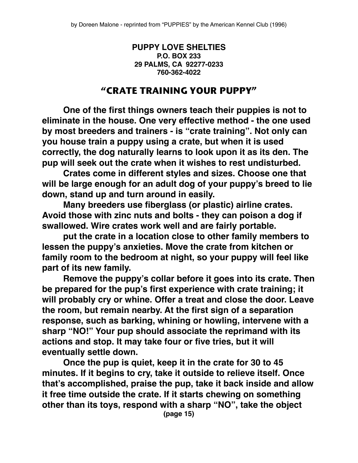## **PUPPY LOVE SHELTIES P.O. BOX 233 29 PALMS, CA 92277-0233 760-362-4022**

## **"CRATE TRAINING YOUR PUPPY"**

**One of the first things owners teach their puppies is not to eliminate in the house. One very effective method - the one used by most breeders and trainers - is "crate training". Not only can you house train a puppy using a crate, but when it is used correctly, the dog naturally learns to look upon it as its den. The pup will seek out the crate when it wishes to rest undisturbed.**

**Crates come in different styles and sizes. Choose one that will be large enough for an adult dog of your puppy's breed to lie down, stand up and turn around in easily.**

**Many breeders use fiberglass (or plastic) airline crates. Avoid those with zinc nuts and bolts - they can poison a dog if swallowed. Wire crates work well and are fairly portable.**

**put the crate in a location close to other family members to lessen the puppy's anxieties. Move the crate from kitchen or family room to the bedroom at night, so your puppy will feel like part of its new family.**

**Remove the puppy's collar before it goes into its crate. Then be prepared for the pup's first experience with crate training; it will probably cry or whine. Offer a treat and close the door. Leave the room, but remain nearby. At the first sign of a separation response, such as barking, whining or howling, intervene with a sharp "NO!" Your pup should associate the reprimand with its actions and stop. It may take four or five tries, but it will eventually settle down.**

**Once the pup is quiet, keep it in the crate for 30 to 45 minutes. If it begins to cry, take it outside to relieve itself. Once that's accomplished, praise the pup, take it back inside and allow it free time outside the crate. If it starts chewing on something other than its toys, respond with a sharp "NO", take the object**